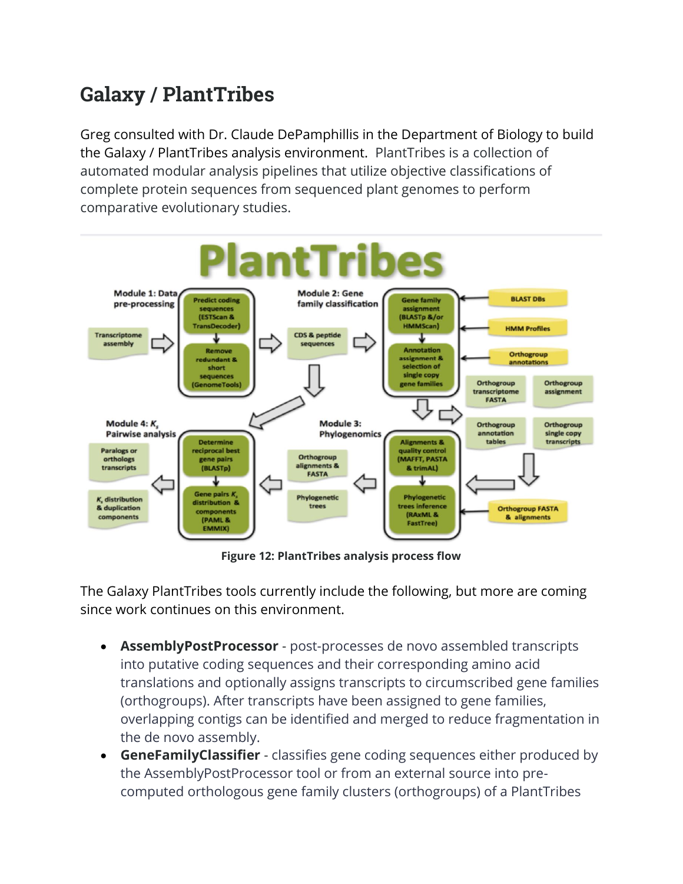## **Galaxy / PlantTribes**

Greg consulted with Dr. Claude DePamphillis in the Department of Biology to build the Galaxy / PlantTribes analysis environment. PlantTribes is a collection of automated modular analysis pipelines that utilize objective classifications of complete protein sequences from sequenced plant genomes to perform comparative evolutionary studies.



**Figure 12: PlantTribes analysis process flow**

The Galaxy PlantTribes tools currently include the following, but more are coming since work continues on this environment.

- **AssemblyPostProcessor** post-processes de novo assembled transcripts into putative coding sequences and their corresponding amino acid translations and optionally assigns transcripts to circumscribed gene families (orthogroups). After transcripts have been assigned to gene families, overlapping contigs can be identified and merged to reduce fragmentation in the de novo assembly.
- **GeneFamilyClassifier** classifies gene coding sequences either produced by the AssemblyPostProcessor tool or from an external source into precomputed orthologous gene family clusters (orthogroups) of a PlantTribes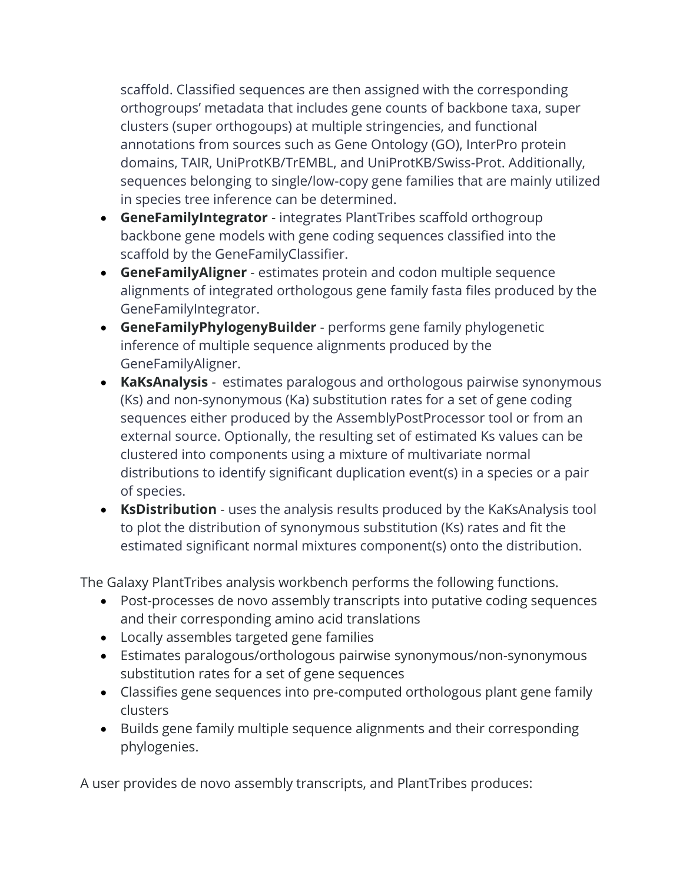scaffold. Classified sequences are then assigned with the corresponding orthogroups' metadata that includes gene counts of backbone taxa, super clusters (super orthogoups) at multiple stringencies, and functional annotations from sources such as Gene Ontology (GO), InterPro protein domains, TAIR, UniProtKB/TrEMBL, and UniProtKB/Swiss-Prot. Additionally, sequences belonging to single/low-copy gene families that are mainly utilized in species tree inference can be determined.

- **GeneFamilyIntegrator** integrates PlantTribes scaffold orthogroup backbone gene models with gene coding sequences classified into the scaffold by the GeneFamilyClassifier.
- **GeneFamilyAligner** estimates protein and codon multiple sequence alignments of integrated orthologous gene family fasta files produced by the GeneFamilyIntegrator.
- **GeneFamilyPhylogenyBuilder** performs gene family phylogenetic inference of multiple sequence alignments produced by the GeneFamilyAligner.
- **KaKsAnalysis** estimates paralogous and orthologous pairwise synonymous (Ks) and non-synonymous (Ka) substitution rates for a set of gene coding sequences either produced by the AssemblyPostProcessor tool or from an external source. Optionally, the resulting set of estimated Ks values can be clustered into components using a mixture of multivariate normal distributions to identify significant duplication event(s) in a species or a pair of species.
- **KsDistribution** uses the analysis results produced by the KaKsAnalysis tool to plot the distribution of synonymous substitution (Ks) rates and fit the estimated significant normal mixtures component(s) onto the distribution.

The Galaxy PlantTribes analysis workbench performs the following functions.

- Post-processes de novo assembly transcripts into putative coding sequences and their corresponding amino acid translations
- Locally assembles targeted gene families
- Estimates paralogous/orthologous pairwise synonymous/non-synonymous substitution rates for a set of gene sequences
- Classifies gene sequences into pre-computed orthologous plant gene family clusters
- Builds gene family multiple sequence alignments and their corresponding phylogenies.

A user provides de novo assembly transcripts, and PlantTribes produces: